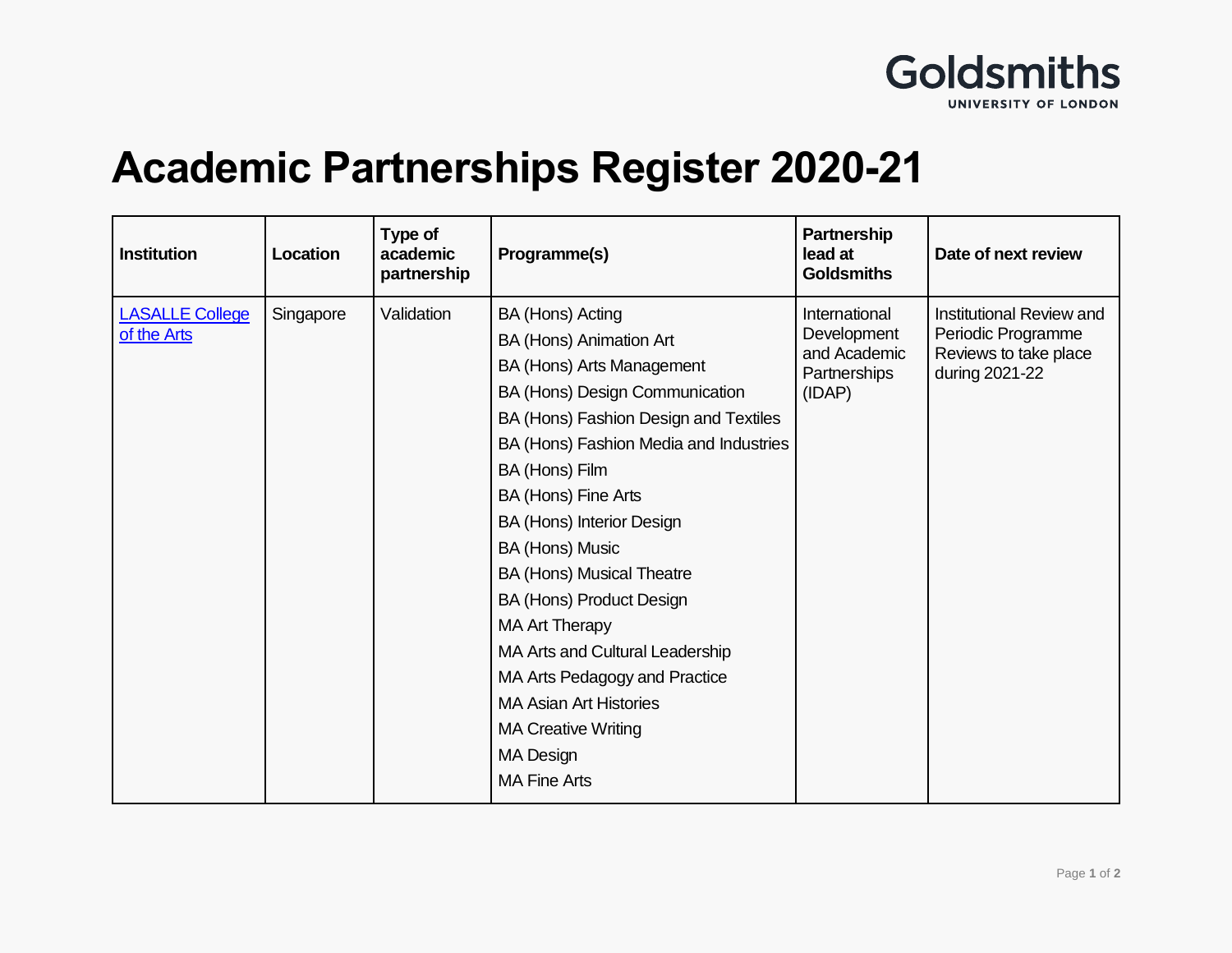

## **Academic Partnerships Register 2020-21**

| <b>Institution</b>                    | Location  | Type of<br>academic<br>partnership | Programme(s)                                                                                                                                                                                                                                                                                                                                                                                                                                                                                                                                                  | <b>Partnership</b><br>lead at<br><b>Goldsmiths</b>                     | Date of next review                                                                       |
|---------------------------------------|-----------|------------------------------------|---------------------------------------------------------------------------------------------------------------------------------------------------------------------------------------------------------------------------------------------------------------------------------------------------------------------------------------------------------------------------------------------------------------------------------------------------------------------------------------------------------------------------------------------------------------|------------------------------------------------------------------------|-------------------------------------------------------------------------------------------|
| <b>LASALLE College</b><br>of the Arts | Singapore | Validation                         | BA (Hons) Acting<br>BA (Hons) Animation Art<br>BA (Hons) Arts Management<br>BA (Hons) Design Communication<br>BA (Hons) Fashion Design and Textiles<br>BA (Hons) Fashion Media and Industries<br>BA (Hons) Film<br>BA (Hons) Fine Arts<br>BA (Hons) Interior Design<br>BA (Hons) Music<br><b>BA (Hons) Musical Theatre</b><br>BA (Hons) Product Design<br><b>MA Art Therapy</b><br>MA Arts and Cultural Leadership<br>MA Arts Pedagogy and Practice<br><b>MA Asian Art Histories</b><br><b>MA Creative Writing</b><br><b>MA Design</b><br><b>MA Fine Arts</b> | International<br>Development<br>and Academic<br>Partnerships<br>(IDAP) | Institutional Review and<br>Periodic Programme<br>Reviews to take place<br>during 2021-22 |